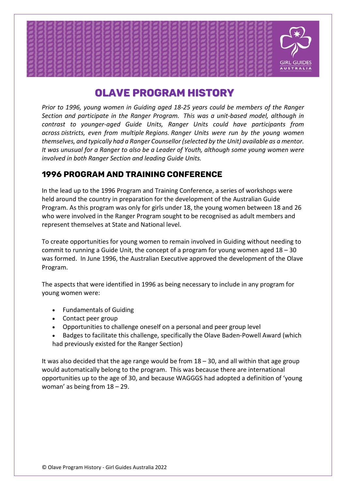

# Olave Program History

*Prior to 1996, young women in Guiding aged 18-25 years could be members of the Ranger Section and participate in the Ranger Program.  This was a unit-based model, although in contrast to younger-aged Guide Units, Ranger Units could have participants from across Districts, even from multiple Regions. Ranger Units were run by the young women themselves, and typically had a Ranger Counsellor (selected by the Unit) available as a mentor. It was unusual for a Ranger to also be a Leader of Youth, although some young women were involved in both Ranger Section and leading Guide Units.*

# 1996 Program and Training Conference

In the lead up to the 1996 Program and Training Conference, a series of workshops were held around the country in preparation for the development of the Australian Guide Program. As this program was only for girls under 18, the young women between 18 and 26 who were involved in the Ranger Program sought to be recognised as adult members and represent themselves at State and National level.

To create opportunities for young women to remain involved in Guiding without needing to commit to running a Guide Unit, the concept of a program for young women aged 18 – 30 was formed.  In June 1996, the Australian Executive approved the development of the Olave Program.

The aspects that were identified in 1996 as being necessary to include in any program for young women were:

- Fundamentals of Guiding
- Contact peer group
- Opportunities to challenge oneself on a personal and peer group level
- Badges to facilitate this challenge, specifically the Olave Baden-Powell Award (which had previously existed for the Ranger Section)

It was also decided that the age range would be from 18 – 30, and all within that age group would automatically belong to the program.  This was because there are international opportunities up to the age of 30, and because WAGGGS had adopted a definition of 'young woman' as being from 18 – 29.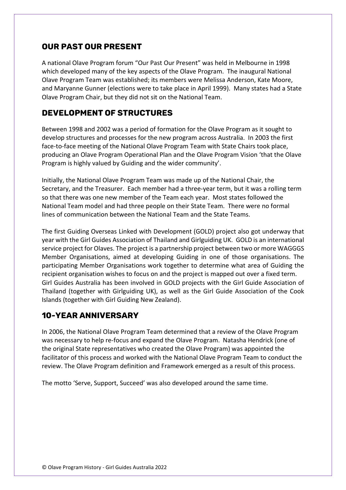## Our Past Our Present

A national Olave Program forum "Our Past Our Present" was held in Melbourne in 1998 which developed many of the key aspects of the Olave Program.  The inaugural National Olave Program Team was established; its members were Melissa Anderson, Kate Moore, and Maryanne Gunner (elections were to take place in April 1999).  Many states had a State Olave Program Chair, but they did not sit on the National Team.

#### Development of Structures

Between 1998 and 2002 was a period of formation for the Olave Program as it sought to develop structures and processes for the new program across Australia.  In 2003 the first face-to-face meeting of the National Olave Program Team with State Chairs took place, producing an Olave Program Operational Plan and the Olave Program Vision 'that the Olave Program is highly valued by Guiding and the wider community'.

Initially, the National Olave Program Team was made up of the National Chair, the Secretary, and the Treasurer.  Each member had a three-year term, but it was a rolling term so that there was one new member of the Team each year.  Most states followed the National Team model and had three people on their State Team.  There were no formal lines of communication between the National Team and the State Teams.

The first Guiding Overseas Linked with Development (GOLD) project also got underway that year with the Girl Guides Association of Thailand and Girlguiding UK.  GOLD is an international service project for Olaves. The project is a partnership project between two or more WAGGGS Member Organisations, aimed at developing Guiding in one of those organisations. The participating Member Organisations work together to determine what area of Guiding the recipient organisation wishes to focus on and the project is mapped out over a fixed term.  Girl Guides Australia has been involved in GOLD projects with the Girl Guide Association of Thailand (together with Girlguiding UK), as well as the Girl Guide Association of the Cook Islands (together with Girl Guiding New Zealand).

#### 10-year Anniversary

In 2006, the National Olave Program Team determined that a review of the Olave Program was necessary to help re-focus and expand the Olave Program.  Natasha Hendrick (one of the original State representatives who created the Olave Program) was appointed the facilitator of this process and worked with the National Olave Program Team to conduct the review. The Olave Program definition and Framework emerged as a result of this process. 

The motto 'Serve, Support, Succeed' was also developed around the same time.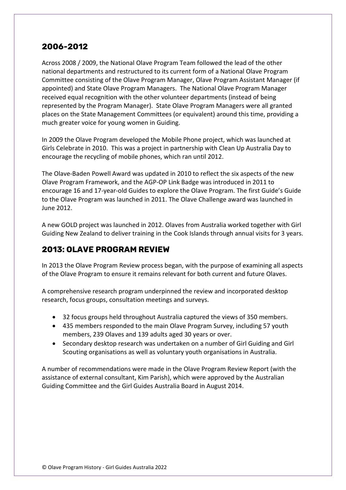## 2006-2012

Across 2008 / 2009, the National Olave Program Team followed the lead of the other national departments and restructured to its current form of a National Olave Program Committee consisting of the Olave Program Manager, Olave Program Assistant Manager (if appointed) and State Olave Program Managers.  The National Olave Program Manager received equal recognition with the other volunteer departments (instead of being represented by the Program Manager).  State Olave Program Managers were all granted places on the State Management Committees (or equivalent) around this time, providing a much greater voice for young women in Guiding.

In 2009 the Olave Program developed the Mobile Phone project, which was launched at Girls Celebrate in 2010.  This was a project in partnership with Clean Up Australia Day to encourage the recycling of mobile phones, which ran until 2012.

The Olave-Baden Powell Award was updated in 2010 to reflect the six aspects of the new Olave Program Framework, and the AGP-OP Link Badge was introduced in 2011 to encourage 16 and 17-year-old Guides to explore the Olave Program. The first Guide's Guide to the Olave Program was launched in 2011. The Olave Challenge award was launched in June 2012.

A new GOLD project was launched in 2012. Olaves from Australia worked together with Girl Guiding New Zealand to deliver training in the Cook Islands through annual visits for 3 years.

# 2013: Olave Program Review

In 2013 the Olave Program Review process began, with the purpose of examining all aspects of the Olave Program to ensure it remains relevant for both current and future Olaves.

A comprehensive research program underpinned the review and incorporated desktop research, focus groups, consultation meetings and surveys.

- 32 focus groups held throughout Australia captured the views of 350 members.
- 435 members responded to the main Olave Program Survey, including 57 youth members, 239 Olaves and 139 adults aged 30 years or over.
- Secondary desktop research was undertaken on a number of Girl Guiding and Girl Scouting organisations as well as voluntary youth organisations in Australia.

A number of recommendations were made in the Olave Program Review Report (with the assistance of external consultant, Kim Parish), which were approved by the Australian Guiding Committee and the Girl Guides Australia Board in August 2014.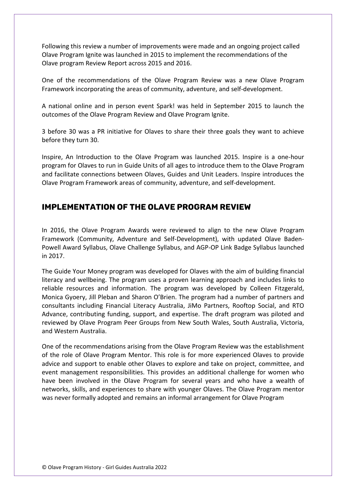Following this review a number of improvements were made and an ongoing project called Olave Program Ignite was launched in 2015 to implement the recommendations of the Olave program Review Report across 2015 and 2016.

One of the recommendations of the Olave Program Review was a new Olave Program Framework incorporating the areas of community, adventure, and self-development.

A national online and in person event Spark! was held in September 2015 to launch the outcomes of the Olave Program Review and Olave Program Ignite.

3 before 30 was a PR initiative for Olaves to share their three goals they want to achieve before they turn 30.

Inspire, An Introduction to the Olave Program was launched 2015. Inspire is a one-hour program for Olaves to run in Guide Units of all ages to introduce them to the Olave Program and facilitate connections between Olaves, Guides and Unit Leaders. Inspire introduces the Olave Program Framework areas of community, adventure, and self-development.

## Implementation of the Olave Program Review

In 2016, the Olave Program Awards were reviewed to align to the new Olave Program Framework (Community, Adventure and Self-Development), with updated Olave Baden-Powell Award Syllabus, Olave Challenge Syllabus, and AGP-OP Link Badge Syllabus launched in 2017.

The Guide Your Money program was developed for Olaves with the aim of building financial literacy and wellbeing. The program uses a proven learning approach and includes links to reliable resources and information. The program was developed by Colleen Fitzgerald, Monica Gyoery, Jill Pleban and Sharon O'Brien. The program had a number of partners and consultants including Financial Literacy Australia, JiMo Partners, Rooftop Social, and RTO Advance, contributing funding, support, and expertise. The draft program was piloted and reviewed by Olave Program Peer Groups from New South Wales, South Australia, Victoria, and Western Australia.

One of the recommendations arising from the Olave Program Review was the establishment of the role of Olave Program Mentor. This role is for more experienced Olaves to provide advice and support to enable other Olaves to explore and take on project, committee, and event management responsibilities. This provides an additional challenge for women who have been involved in the Olave Program for several years and who have a wealth of networks, skills, and experiences to share with younger Olaves. The Olave Program mentor was never formally adopted and remains an informal arrangement for Olave Program